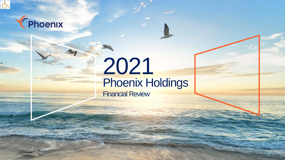

## Thoenix

## 2021 Phoenix Holdings Financial Review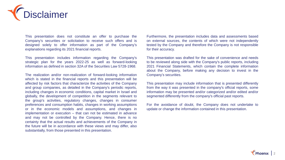

This presentation does not constitute an offer to purchase the Company's securities or solicitation to receive such offers and is designed solely to offer information as part of the Company's explanations regarding its 2021 financial reports.

This presentation includes information regarding the Company's strategic plan for the years 2022-25 as well as forward-looking information as defined in section 32A of the Securities Law 5728-1968.

The realization and/or non-realization of forward-looking information which is stated in the financial reports and this presentation will be affected by risk factors that characterize the activities of the Company and group companies, as detailed in the Company's periodic reports, including changes in economic conditions, capital market in Israel and globally, the development of competition in the segments relevant to the group's activities, regulatory changes, changes in consumer preferences and consumption habits, changes in working assumptions or in the economic models and assumptions, and changes in implementation or execution – that can not be estimated in advance and may not be controlled by the Company. Hence, there is no certainty that the actual results and achievements of the Company in the future will be in accordance with these views and may differ, also substantially, from those presented in this presentation.

Furthermore, the presentation includes data and assessments based on external sources, the contents of which were not independently tested by the Company and therefore the Company is not responsible for their accuracy.

This presentation was drafted for the sake of convenience and needs to be reviewed along side with the Company's public reports, including 2021 Financial Statements, which contain the complete information about the Company, before making any decision to invest in the Company's securities.

This presentation may include information that is presented differently from the way it was presented in the company's official reports, some information may be presented and/or categorized and/or edited and/or segmented differently from the company's official past reports.

For the avoidance of doubt, the Company does not undertake to update or change the information contained in this presentation.

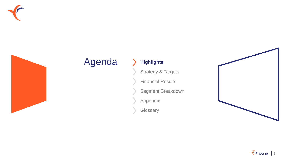



## Agenda > Highlights

Strategy & Targets

Financial Results

Segment Breakdown

Appendix

**Glossary** 



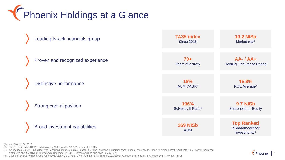**TERES** Phoenix Holdings at a Glance



 $\ell$  Phoenix  $\parallel$  4

(1) As of March 24, 2022

(2) Five-year period (2016-21 end of year for AUM growth, 2017-21 full year for ROE)

(3) As of June 30, 2021, unaudited, with transitional measures, proforma for 300 NISm dividend distribution from Phoenix Insurance to Phoenix Holdings. Post report date, The Phoenix Insurance distributed about 500 NISm in dividends. December 31, 2021 Solvency will be published in May 2022

(4) Based on average yields over 3 years (2019-21) in the general plans: #1 out of 5 in Policies (1991-2003), #1 out of 5 in Pension, & #3 out of 10 in Provident Funds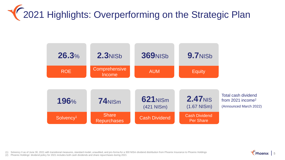# **TE 2021 Highlights: Overperforming on the Strategic Plan**



(1) Solvency II as of June 30, 2021 with transitional measures, standard model, unaudited, and pro-forma for a 300 NISm dividend distribution from Phoenix Insurance to Phoenix Holdings

(2) Phoenix Holdings' dividend policy for 2021 includes both cash dividends and share repurchases during 2021

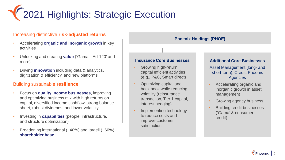

### Increasing distinctive **risk-adjusted returns**

- Accelerating **organic and inorganic growth** in key activities
- Unlocking and creating **value** ('Gama', 'Ad-120' and more)
- Driving **innovation** including data & analytics, digitization & efficiency, and new platforms

### Building sustainable **resilience**

- Focus on **quality income businesses**, improving and optimizing business mix with high returns on capital, diversified income cashflow, strong balance sheet, robust dividends, and lower volatility
- Investing in **capabilities** (people, infrastructure, and structure optimization)
- Broadening international (~40%) and Israeli (~60%) **shareholder base**



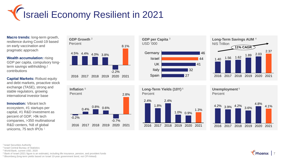

**Macro trends:** long-term growth, resilience during Covid-19 based on early vaccination and pragmatic approach

**Wealth accumulation:** rising GDP per capita, compulsory longterm savings withholding / contributions

**Capital Markets: Robust equity** and debt markets, proactive stock exchange (TASE), strong and stable regulators, growing international investor base

**Innovation:** Vibrant tech ecosystem, #1 startups per capital, #1 R&D investment as percent of GDP, >9k tech companies, >350 multinational R&D centers, %8 of global unicorns, 75 tech IPOs<sup>1</sup>









**Long-Term Yields (10Y) <sup>5</sup> Percent** 



**Unemployment <sup>5</sup>** Percent



<sup>1</sup> Israel Securities Authority

<sup>2</sup>Israel Central Bureau of Statistics

<sup>3</sup> World Bank, current USD, 2020

<sup>4</sup> Bank of Israel (2021 figure is an estimate), including life insurance, pension, and provident funds

<sup>5</sup> Bloomberg (long-term yields based on Israel 10-year government bond, not CPI-linked)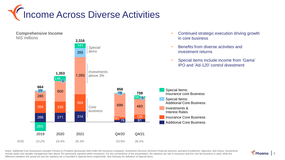

**Comprehensive Income** NIS millions



- Continued strategic execution driving growth in core business
- Benefits from diverse activities and investment returns
- Special items include income from 'Gama' IPO and 'Ad-120' control divestment

Notes: Additional Core Businesses includes Pension & Provident (previously held under the insurance company), Investment Services (formerly Financial Services, primarily Excellence), Agencies, and Gama. Investments include yields and variable management fees above 3% (previously reported within Insurance). For the convenience of the presentation, the statutory tax rate in insurance and the core fee business is used, while the difference between the actual tax and the statutory tax is recorded in Special Items respectively. See Glossary for definition of Special Items.

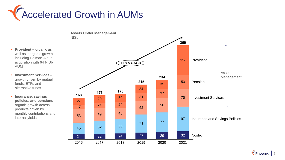



• **Provident –** organic as well as inorganic growth including Halman-Aldubi acquisition with 64 NISb AUM

• **Investment Services –** growth driven by mutual funds, ETFs and alternative funds

• **Insurance, savings policies, and pensions –** organic growth across products driven by monthly contributions and internal yields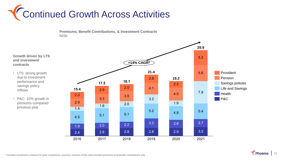





$$
\sqrt{\frac{1}{2}} \text{Phoenix} \mid 10
$$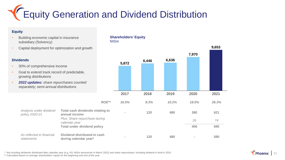## **TEquity Generation and Dividend Distribution**

### **Equity**

- Building economic capital in insurance subsidiary (Solvency)
- Capital deployment for optimization and growth

### **Dividends**

• 30% of comprehensive income

*Analysis under dividend* 

*As reflected in financial* 

*policy 2020-21*

*statements*

- Goal to extend track record of predictable, growing distributions
- *2022 updates: share repurchases counted separately; semi-annual distributions*

### **Shareholders' Equity** NISm



\* Not including dividends distributed after calendar year (e.g, 421 NISm announced in March 2022) and share repurchases; including dividend in kind in 2019

\*\* Calculated based on average shareholders' equity for the beginning and end of the year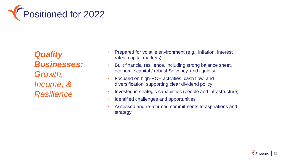

*Quality Businesses: Growth, Income, & Resilience*

- Prepared for volatile environment (e.g., inflation, interest rates, capital markets)
- Built financial resilience, including strong balance sheet, economic capital / robust Solvency, and liquidity
- Focused on high-ROE activities, cash flow, and diversification, supporting clear dividend policy
- Invested in strategic capabilities (people and infrastructure)
- Identified challenges and opportunities
- Assessed and re-affirmed commitments to aspirations and strategy

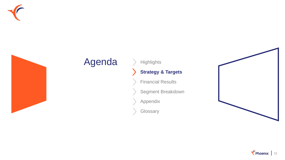



## Agenda > Highlights

### **Strategy & Targets**

Financial Results

Segment Breakdown

Appendix

**Glossary** 



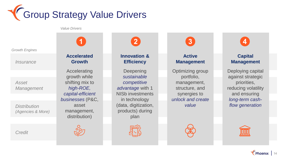

*Value Drivers*

*Growth Engines*

*Insurance*

*Asset Management*

*Distribution (Agencies & More)*

*Credit*

**Accelerated Growth**

Accelerating growth while shifting mix to *high-ROE, capital-efficient businesses* (P&C, asset management, distribution)



**Innovation & Efficiency**

**Deepening** *sustainable competitive advantage* with 1 NISb investments in technology (data, digitization, products) during plan

**Active Management**

Optimizing group portfolio, management, structure, and synergies to *unlock and create value*



### **Capital Management**

Deploying capital against strategic priorities, reducing volatility and ensuring *long-term cashflow generation*

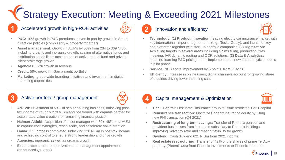## Strategy Execution: Meeting & Exceeding 2021 Milestones

### **1** Accelerated growth in high-ROE activities **2** Innovation and efficiency

- **P&C:** 10% growth in P&C premiums, driven in part by growth in Smart direct car policies (compulsory & property together)
- **Asset management:** Growth in AUMs by 58% from 234 to 369 NISb, including organic and inorganic growth; scaling of alternative funds and distribution capabilities; acceleration of active mutual fund and private client brokerage growth
- **Agencies:** 32% growth in revenue
- **Credit:** 58% growth in Gama credit portfolio
- **Marketing:** group-wide branding initiatives and investment in digital marketing capabilities



- **Technology: (1) Product innovation:** leading electric car insurance market with key international importer agreements (e.g., Tesla, Geely), and launch of key app platforms together with start-up portfolio companies; **(2) Digitization:** Achieving targets in several areas including claims filling, production, files indexing, IVR dynamic routing and OCR solutions; **(3) Data & Analytics:**  machine-learning P&C pricing model implementation; new data analytics models in pilot phase
- **Service:** NPS score improvement by 5 points, from 53 to 58
- **Efficiency:** increase in online users; digital channels account for growing share of inquiries driving fewer incoming calls





### **3** Active portfolio / group management **4** Capital management & Optimization



- **Ad-120:** Divestment of 53% of senior housing business, unlocking posttax income of roughly 270 NISm and positioned with capable partner for accelerated value creation for remaining financial position
- **Halman-Aldubi:** Acquisition of asset manager with 60+ NISb total AUM to capture cost synergies, reach scale, and accelerate value creation
- **Gama:** IPO process completed, unlocking 220 NISm in post-tax income and achieving control to ensure strong leadership and drive growth
- **Agencies:** inorganic as well as organic growth
- **Excellence:** structure optimization and management appointments (announced Q1 2022)
- **Tier 1 Capital:** First Israeli insurance group to issue restricted Tier 1 capital
- **Reinsurance transaction:** Optimize Phoenix insurance equity by using new PHI transaction (Q4 2021)
- **Restructuring of long-term savings:** Transfer of Phoenix pension and provident businesses from insurance subsidiary to Phoenix Holdings, improving Solvency ratio and creating flexibility for growth
- **Dividend:** Cash dividend 621 NISm from 2021 income
- **Real estate restructuring:** Transfer of 49% of the shares of prime Tel Aviv property (Phoeniclass) from Phoenix Investments to Phoenix Insurance

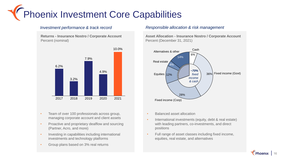# Phoenix Investment Core Capabilities

**Returns - Insurance Nostro / Corporate Account** Percent (nominal)



- Team of over 100 professionals across group, managing corporate account and client assets
- Proactive and proprietary dealflow and sourcing (Partner, Acro, and more)
- Investing in capabilities including international investments and technology platforms
- Group plans based on 3% real returns

### *Investment performance & track record Responsible allocation & risk management*

**Asset Allocation - Insurance Nostro / Corporate Account** Percent (December 31, 2021)



- Balanced asset allocation
- International investments (equity, debt & real estate) with leading partners, co-investments, and direct positions
- Full range of asset classes including fixed income, equities, real estate, and alternatives

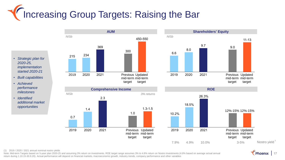# **The Targets: Raising the Bar**

- *Strategic plan for 2020-25, implementation started 2020-21*
- *Built capabilities*
- *Achieved performance milestones*
- *Identified additional market opportunities*









(1) 2019 / 2020 / 2021 annual nominal nostro yields

Note: Mid-term Targets based on 5-year plan 2020-25 and assuming 3% return on investments. ROE target range assumes 3% to 4.8% return on Nostro investments (4.8% based on average actual annual return during 1.10.15-30.9.20). Actual performance will depend on financial markets, macroeconomic growth, industry trends, company performance and other variables

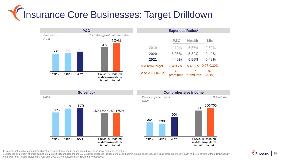# Insurance Core Businesses: Target Drilldown



| <b>P&amp;C</b>  | <b>Health</b>   | Life                |
|-----------------|-----------------|---------------------|
| 4.10%           | 5.57%           | 0.50%               |
| 5.08%           | 5.82%           | 0.49%               |
| 4.40%           | 5.55%           | 0.42%               |
| $3.4 - 3.7%$    |                 | 5.4-5.8% 0.27-0.30% |
| 3.2<br>premiums | 2.7<br>premiums | 97<br><b>AUM</b>    |
|                 |                 |                     |

**Expenses Ratios**<sup>2</sup>





1 Solvency ratio with standard transitional measures; target range based on reduced transitional measures over time

2 Expenses as percent of gross earned premiums (P&C and Health) and AUMs (Life); expenses include general and administrative expenses, as well as other expenses; Health mid-term targets without HMO activity Note: Mid-term Targets based on 5-year plan 2020-25 and assuming 3% return on investments.

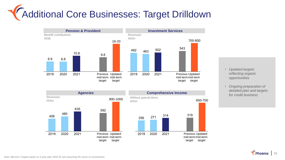# Additional Core Businesses: Target Drilldown









- *Updated targets reflecting organic opportunities*
- *Ongoing preparation of detailed plan and targets for credit business*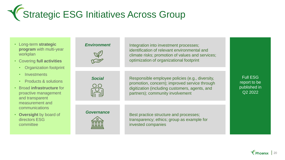# Strategic ESG Initiatives Across Group

- Long-term **strategic program** with multi-year workplan
- Covering **full activities**
	- Organization footprint
	- Investments
	- Products & solutions
- Broad **infrastructure** for proactive management and transparent measurement and communications
- **Oversight** by board of directors ESG committee

# *Environment*

Integration into investment processes; identification of relevant environmental and climate risks; promotion of values and services; optimization of organizational footprint

# *Social*

Responsible employee policies (e.g., diversity, promotion, concern); improved service through digitization (including customers, agents, and partners); community involvement

*Governance*



Best practice structure and processes; transparency; ethics; group as example for invested companies

Full ESG report to be published in Q2 2022

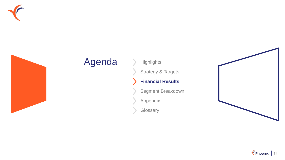



## Agenda > Highlights

Strategy & Targets

### **Financial Results**

Segment Breakdown

Appendix

**Glossary** 



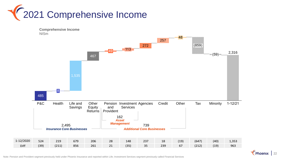



Note: Pension and Provident segment previously held under Phoenix Insurance and reported within Life; Investment Services segment previously called Financial Services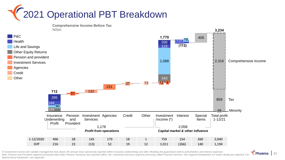# 2021 Operational PBT Breakdown

169 132 231 400 859 168 2,316 285 343 1,088 123 200 37 13 90 Pension Investment Agencies Credit Services Insurance **Underwriting** Profit and Provident 51 Interest **712** Special Items 59 Minority Total profit 1-12/21 (131)<sup>19</sup> Comprehensive Income Tax Investment Income (\*)  $12 - 4$ **)112( Other 1,770 3,234 Comprehensive Income Before Tax** NISm *Profit from operations Capital market & other influence* P&C Life and Savings Health Other Equity Returns Pension and provident Investment Services Agencies **Credit Other** 1-12/2020 496 28 145 179 18 1 759 154 260 2,040 1,176 2,058<br> **Profit from operations**<br>
2/2020 496 28 145 179 18 1 759 154 260 2,040<br>
20ff 216 23 (13) 52 19 12 1,011 (266) 140 1,194

(\*) Investment income and variable management fees above 3% annual return (previously reported within insurance underwriting) and after offsetting the guaranteed yield to policyholders and interest expenses Note: Pension and Provident segment previously held under Phoenix Insurance and reported within Life; Investment Services segment previously called Financial Services. See segment breakdowns for further details per segment Special Items breakdown, see Appendix

 $\sqrt{\phantom{a}}$  Phoenix | 23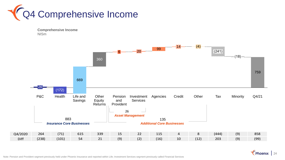





Thoenix 24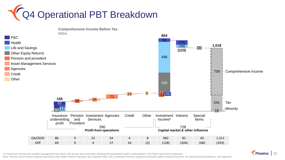





(\*) Investment income and variable management fees above 3% annual return and after offsetting the guaranteed yield to policyholders (123 NISm) and interest expenses Note: Pension and Provident segment previously held under Phoenix Insurance and reported within Life; Investment Services segment previously called Financial Services. For Special Items breakdown, see Appendix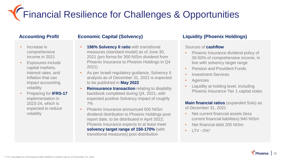Financial Resilience for Challenges & Opportunities

### **Accounting Profit**

- Increase in comprehensive income in 2021
- Exposures include capital markets, interest rates, and inflation that can impact accounting volatility
- Preparing for **IFRS-17**  implementation in 2023-24, which is expected to reduce volatility

### **Economic Capital (Solvency)**

- **196% Solvency II ratio with transitional** measures (standard model) as of June 30, 2021 (pro forma for 300 NISm dividend from Phoenix Insurance to Phoenix Holdings in Q4 2021)
- As per Israeli regulatory guidance, Solvency II analysis as of December 31, 2021 is expected to be published in **May 2022**
- **Reinsurance transaction** relating to disability backbook completed during Q4, 2021, with expected positive Solvency impact of roughly 7%
- Phoenix Insurance announced 500 NISm dividend distribution to Phoenix Holdings post report date, to be distributed in April 2022; Phoenix Insurance expects to at least meet **solvency target range of 150-170%** (with transitional measures) post distribution

### **Liquidity (Phoenix Holdings)**

### Sources of **cashflow**

- Phoenix Insurance dividend policy of 30-50% of comprehensive income, in line with solvency target range
- Pension and Provident Funds
- Investment Services
- Agencies
- Liquidity at holding level, including Phoenix Insurance Tier 1 capital notes

**Main financial ratios** (expanded Solo) as of December 31, 2021

- Net current financial assets (less current financial liabilities) 940 NISm
- Net financial debt 200 NISm
- $LTV \sim 2\%$ <sup>\*</sup>

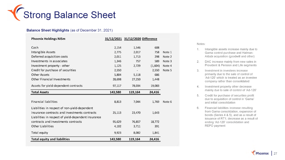

### **Balance Sheet Highlights** (as of December 31, 2021)

| <b>Phoenix Holdings NISm</b>                        |         | 31/12/2021 31/12/2020 Difference |         |        |
|-----------------------------------------------------|---------|----------------------------------|---------|--------|
| Cash                                                | 2,154   | 1,546                            | 608     |        |
| Intangible Assets                                   | 2,775   | 2,017                            | 758     | Note 1 |
| Deferred acquisition costs                          | 2,011   | 1,713                            | 298     | Note 2 |
| Investments in associates                           | 1,346   | 757                              | 589     | Note 3 |
| Investment property - other                         | 1,125   | 2,729                            | (1,604) | Note 4 |
| Credit for purchase of securities                   | 2,550   |                                  | 2,550   | Note 5 |
| <b>Other Assets</b>                                 | 5,804   | 5,118                            | 686     |        |
| Other Financial Investments                         | 28,698  | 27,250                           | 1,448   |        |
| Assets for yield-dependent contracts                | 97,117  | 78,034                           | 19,083  |        |
|                                                     |         |                                  |         |        |
| <b>Total Assets</b>                                 | 143,580 | 119,164                          | 24,416  |        |
|                                                     |         |                                  |         |        |
| <b>Financial liabilities</b>                        | 8,813   | 7,044                            | 1,769   | Note 6 |
| Liabilities in respect of non-yield-dependent       |         |                                  |         |        |
| insurance contracts and investments contracts       | 25,113  | 23,470                           | 1,643   |        |
| Liabilities in respect of yield-dependent insurance |         |                                  |         |        |
| contracts and investments contracts                 | 95,629  | 76,857                           | 18,772  |        |
| <b>Other Liabilities</b>                            | 4,102   | 3,711                            | 391     |        |
| Total equity                                        | 9,923   | 8,082                            | 1,841   |        |

Notes:

- 1. Intangible assets increase mainly due to Gama control purchase and Halman-Aldubi acquisition (goodwill and other)
- 2. DAC increase mainly from new sales in Provident & Pension and Life segments
- 3. Investment in investees increase primarily due to the sale of control of 'Ad-120' which is treated as an investee company rather than consolidated
- 4. Investment property other decrease mainly due to sale of control of 'Ad-120'
- 5. Credit for purchase of securities profit due to acquisition of control in 'Gama' and initial consolidation
- 6. Financial liabilities increase resulting from Gama consolidation, expansion of bonds (Series 4 & 5), and as a result of issuance of RT1; decrease as a result of ending 'Ad-120' consolidation and REPO payment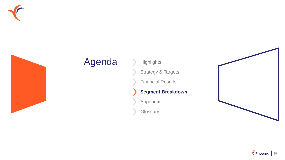



## Agenda > Highlights

Strategy & Targets

Financial Results

### **Segment Breakdown**

Appendix

**Glossary** 



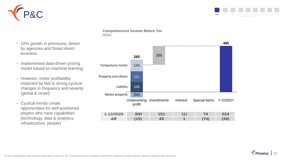



- 10% growth in premiums, driven by agencies and Smart direct business • Implemented data-driven pricing model based on machine learning
- However, motor profitability impacted by fast & strong cyclical changes in frequency and severity (global & Israel)
- Cyclical trends create opportunities for well-positioned players who have capabilities (technology, data & analytics, infrastructure, people)

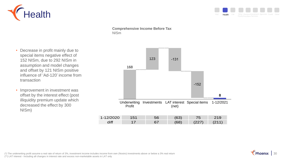



- Decrease in profit mainly due to special items negative effect of 152 NISm, due to 292 NISm in assumption and model changes and offset by 121 NISm positive influence of 'Ad-120' income from transaction
- Improvement in investment was offset by the interest effect (post illiquidity premium update which decreased the effect by 300 NISm)



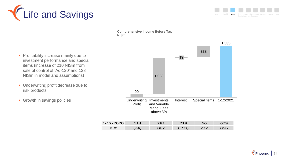



- Profitability increase mainly due to investment performance and special items (increase of 210 NISm from sale of control of 'Ad-120' and 128 NISm in model and assumptions)
- Underwriting profit decrease due to risk products
- Growth in savings policies

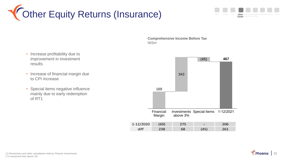





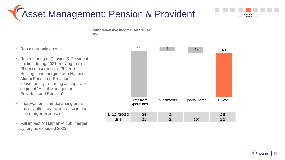



- Robust organic growth
- Restructuring of Pension & Provident holding during 2021, moving from Phoenix Insurance to Phoenix Holdings and merging with Halman-Aldubi Pension & Provident; consequently, reporting as separate segment "Asset Management: Provident and Pension"
- Improvement in underwriting profit partially offset by the increase in one time merger expenses
- Full impact of Halman-Aldubi merger synergies expected 2022



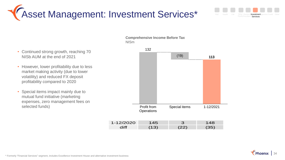





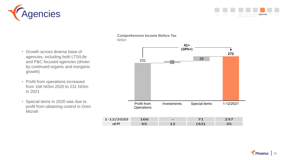



- Growth across diverse base of agencies, including both LTS/Life and P&C focused agencies (driven by continued organic and inorganic growth)
- Profit from operations increased from 166 NISm 2020 to 231 NISm in 2021
- Special items in 2020 was due to profit from obtaining control in Oren Mizrah

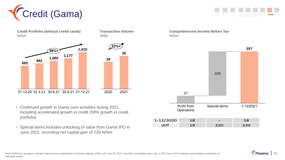

**Credit Portfolio (without credit cards)** NISm



- Continued growth in Gama core activities during 2021, including accelerated growth in credit (58% growth in credit portfolio)
- Special items includes unlocking of value from Gama IPO in June 2021, recording net capital gain of 220 NISm

NISb

**28**

**35**

**22%+**

**Transaction Volume**



**Comprehensive Income Before Tax**

NISm



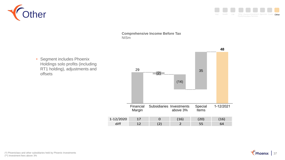



• Segment includes Phoenix Holdings solo profits (including RT1 holding), adjustments and offsets



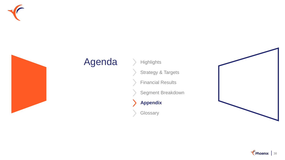



### Agenda > Highlights

Strategy & Targets

Financial Results

Segment Breakdown

**Appendix**

 $\blacktriangleright$ 

**Glossary** 



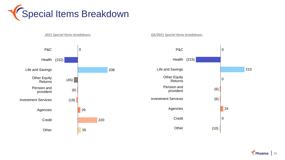



Thoenix 39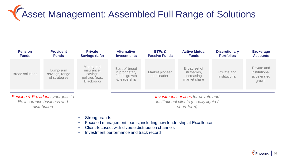# Asset Management: Assembled Full Range of Solutions

| <b>Pension</b><br><b>Funds</b> | <b>Provident</b><br><b>Funds</b>            | <b>Private</b><br><b>Savings (Life)</b>                              | <b>Alternative</b><br><b>Investments</b>                        | <b>ETFs &amp;</b><br><b>Passive Funds</b> | <b>Active Mutual</b><br><b>Funds</b>                      | <b>Discretionary</b><br><b>Portfolios</b> | <b>Brokerage</b><br><b>Accounts</b>                    |
|--------------------------------|---------------------------------------------|----------------------------------------------------------------------|-----------------------------------------------------------------|-------------------------------------------|-----------------------------------------------------------|-------------------------------------------|--------------------------------------------------------|
| <b>Broad solutions</b>         | Lump-sum<br>savings, range<br>of strategies | Managerial<br>insurance,<br>savings<br>policies (e.g.,<br>Blackrock) | Best-of-breed<br>& proprietary<br>funds, growth<br>& leadership | Market pioneer<br>and leader              | Broad set of<br>strategies,<br>increasing<br>market share | Private and<br>institutional              | Private and<br>institutional,<br>accelerated<br>growth |
|                                |                                             |                                                                      |                                                                 |                                           |                                                           |                                           |                                                        |

*Pension & Provident synergetic to life insurance business and distribution*

*Investment services for private and institutional clients (usually liquid / short-term)* 

- Strong brands
- Focused management teams, including new leadership at Excellence
- Client-focused, with diverse distribution channels
- Investment performance and track record

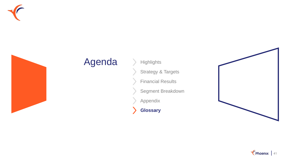



## Agenda > Highlights

Strategy & Targets

Financial Results

Segment Breakdown

Appendix

**Glossary**

 $\blacktriangleright$ 



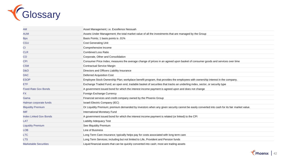

| AM                            | Asset Management; i.e. Excellence Nessuah                                                                                                   |
|-------------------------------|---------------------------------------------------------------------------------------------------------------------------------------------|
| <b>AUM</b>                    | Assets Under Management; the total market value of all the investments that are managed by the Group                                        |
| <b>Bps</b>                    | Basis Points; 1 basis points is .01%                                                                                                        |
| <b>CGU</b>                    | <b>Cost Generating Unit</b>                                                                                                                 |
| <b>CI</b>                     | Comprehensive Income                                                                                                                        |
| <b>CLR</b>                    | <b>Combined Loss Ratio</b>                                                                                                                  |
| CO                            | Corporate, Other and Consolidation                                                                                                          |
| <b>CPI</b>                    | Consumer Price Index; measures the average change of prices in an agreed upon basket of consumer goods and services over time               |
| <b>CSM</b>                    | <b>Contractual Service Margin</b>                                                                                                           |
| D&O                           | Directors and Officers Liability Insurance                                                                                                  |
| <b>DAC</b>                    | <b>Deferred Acquisition Cost</b>                                                                                                            |
| <b>ESOP</b>                   | Employee Stock Ownership Plan; workplace benefit program, that provides the employees with ownership interest in the company.               |
| ETF                           | Exchange Traded Fund; an open end, tradable basket of securities that tracks an underling index, sector, or security type                   |
| <b>Fixed-Rate Gov Bonds</b>   | A government issued bond for which the interest income payment is agreed upon and does not change                                           |
| FX.                           | Foreign Exchange Currency                                                                                                                   |
| Gama                          | Financial services and credit company owned by the Phoenix Group                                                                            |
| Halman corporate funds        | Israeli Electric Company (IEC)                                                                                                              |
| <b>Illiquidity Premium</b>    | Or Liquidity Premium; premium demanded by investors when any given security cannot be easily converted into cash for its fair market value. |
| <b>IMF</b>                    | International Monetary Fund                                                                                                                 |
| <b>Index Linked Gov Bonds</b> | A government issued bond for which the interest income payment is related (or linked) to the CPI                                            |
| LAT                           | <b>Liability Adequacy Test</b>                                                                                                              |
| <b>Liquidity Premium</b>      | See Illiquidity Premium                                                                                                                     |
| <b>LOB</b>                    | Line of Business                                                                                                                            |
| <b>LTC</b>                    | Long Term Care insurance; typically helps pay for costs associated with long term care                                                      |
| <b>LTS</b>                    | Long Term Services; including but not limited to Life, Provident and Pension funds                                                          |
| <b>Marketable Securities</b>  | Liquid financial assets that can be quickly converted into cash; most are trading assets                                                    |

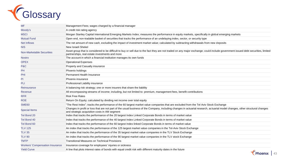

| <b>MF</b>                              | Management Fees; wages charged by a financial manager                                                                                                                                                                               |
|----------------------------------------|-------------------------------------------------------------------------------------------------------------------------------------------------------------------------------------------------------------------------------------|
| Moody's                                | A credit risk rating agency                                                                                                                                                                                                         |
| <b>MSCI</b>                            | Morgan Stanley Capital International Emerging Markets Index; measures the performance in equity markets, specifically in global emerging markets                                                                                    |
| <b>Mutual Fund</b>                     | Open end, non-tradable basket of securities that tracks the performance of an undelaying index, sector, or security type                                                                                                            |
| <b>Net Inflows</b>                     | The net amount of new cash, excluding the impact of investment market value; calculated by subtracting withdrawals from new deposits                                                                                                |
| <b>NIS</b>                             | New Israeli Shekel                                                                                                                                                                                                                  |
| <b>Non-Marketable Securities</b>       | Asset group that is considered to be difficult to buy or sell due to the fact they are not traded on any major exchange; could include government issued debt securities, limited<br>partnerships, real estate investments and more |
| <b>Nostro</b>                          | The account in which a financial institution manages its own funds                                                                                                                                                                  |
| <b>OPEX</b>                            | <b>Operational Expenses</b>                                                                                                                                                                                                         |
| P&C                                    | Property and Casualty insurance                                                                                                                                                                                                     |
| PH                                     | Phoenix holdings                                                                                                                                                                                                                    |
| PHI                                    | Permanent Health Insurance                                                                                                                                                                                                          |
| PI                                     | Phoenix insurance                                                                                                                                                                                                                   |
| PLI                                    | Professional Liability insurance                                                                                                                                                                                                    |
| Reinsurance                            | A balancing risk strategy; one or more insurers that share the liability                                                                                                                                                            |
| <b>Revenue</b>                         | All encompassing streams of income; including, but not limited to: premium, management fees, benefit contributions                                                                                                                  |
| <b>RFR</b>                             | <b>Risk Free Rates</b>                                                                                                                                                                                                              |
| <b>ROE</b>                             | Return On Equity; calculated by dividing net income over total equity                                                                                                                                                               |
| SME <sub>60</sub>                      | "The Rest Index"; tracks the performance of the 60 largest market value companies that are excluded from the Tel Aviv Stock Exchange                                                                                                |
| <b>Special Items</b>                   | Changes in profit or loss that are not part of the usual business of the Company, including changes in actuarial research, actuarial model changes, other structural changes<br>and strategic acquisition costs in AM segment       |
| Tel Bond 20                            | Index that tracks the performance of the 20 largest Index Linked Corporate Bonds in terms of market value                                                                                                                           |
| Tel Bond 40                            | Index that tracks the performance of the 40 largest Index Linked Corporate Bonds in terms of market value                                                                                                                           |
| Tel Bond 60                            | Index that tracks the performance of the 60 largest Index linked Corporate Bonds in terms of market value                                                                                                                           |
| <b>TLV 125</b>                         | An index that tracks the performance of the 125 largest market value companies in the Tel-Aviv Stock Exchange                                                                                                                       |
| <b>TLV 35</b>                          | An index that tracks the performance of the 35 largest market value companies in the TLV Stock Exchange                                                                                                                             |
| <b>TLV 90</b>                          | An index that tracks the performance of the 90 largest market value companies in the TLV stock Exchange                                                                                                                             |
| <b>TMTP</b>                            | <b>Transitional Measures on Technical Provisions</b>                                                                                                                                                                                |
| <b>Workers' Compensation Insurance</b> | Insurance coverage for employees' injuries or sickness                                                                                                                                                                              |
| <b>Yield Curve</b>                     | A line that plots interest rates of bonds with equal credit risk with different maturity dates in the future<br>╭                                                                                                                   |